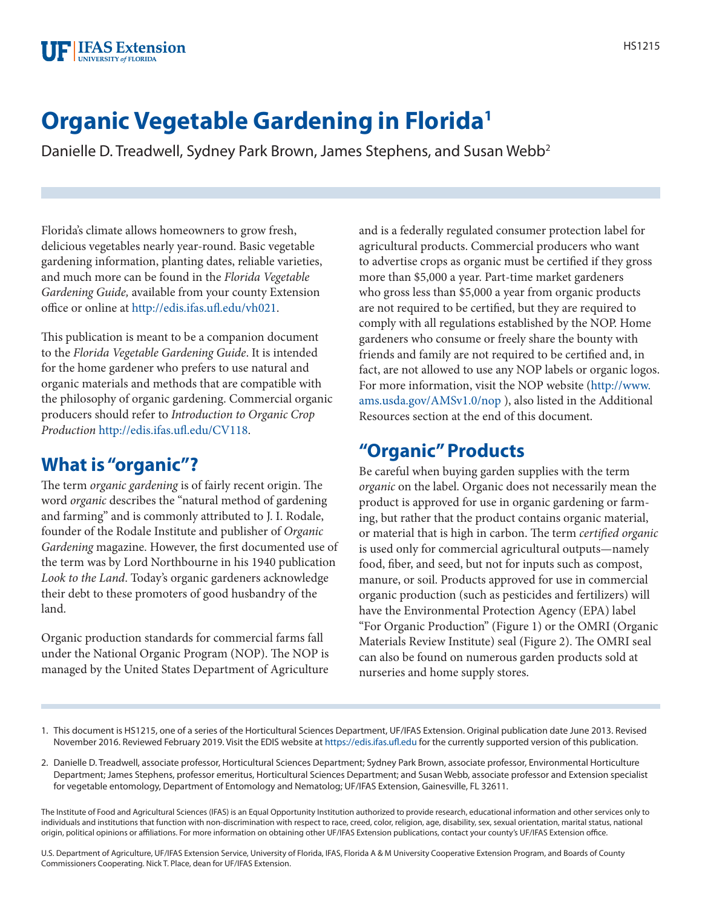# **Organic Vegetable Gardening in Florida1**

Danielle D. Treadwell, Sydney Park Brown, James Stephens, and Susan Webb<sup>2</sup>

Florida's climate allows homeowners to grow fresh, delicious vegetables nearly year-round. Basic vegetable gardening information, planting dates, reliable varieties, and much more can be found in the *Florida Vegetable Gardening Guide,* available from your county Extension office or online at<http://edis.ifas.ufl.edu/vh021>.

This publication is meant to be a companion document to the *Florida Vegetable Gardening Guide*. It is intended for the home gardener who prefers to use natural and organic materials and methods that are compatible with the philosophy of organic gardening. Commercial organic producers should refer to *Introduction to Organic Crop Production* <http://edis.ifas.ufl.edu/CV118>.

# **What is "organic"?**

The term *organic gardening* is of fairly recent origin. The word *organic* describes the "natural method of gardening and farming" and is commonly attributed to J. I. Rodale, founder of the Rodale Institute and publisher of *Organic Gardening* magazine. However, the first documented use of the term was by Lord Northbourne in his 1940 publication *Look to the Land*. Today's organic gardeners acknowledge their debt to these promoters of good husbandry of the land.

Organic production standards for commercial farms fall under the National Organic Program (NOP). The NOP is managed by the United States Department of Agriculture and is a federally regulated consumer protection label for agricultural products. Commercial producers who want to advertise crops as organic must be certified if they gross more than \$5,000 a year. Part-time market gardeners who gross less than \$5,000 a year from organic products are not required to be certified, but they are required to comply with all regulations established by the NOP. Home gardeners who consume or freely share the bounty with friends and family are not required to be certified and, in fact, are not allowed to use any NOP labels or organic logos. For more information, visit the NOP website [\(http://www.](http://www.ams.usda.gov/AMSv1.0/nop) [ams.usda.gov/AMSv1.0/nop](http://www.ams.usda.gov/AMSv1.0/nop) ), also listed in the Additional Resources section at the end of this document.

# **"Organic" Products**

Be careful when buying garden supplies with the term *organic* on the label. Organic does not necessarily mean the product is approved for use in organic gardening or farming, but rather that the product contains organic material, or material that is high in carbon. The term *certified organic* is used only for commercial agricultural outputs—namely food, fiber, and seed, but not for inputs such as compost, manure, or soil. Products approved for use in commercial organic production (such as pesticides and fertilizers) will have the Environmental Protection Agency (EPA) label "For Organic Production" (Figure 1) or the OMRI (Organic Materials Review Institute) seal (Figure 2). The OMRI seal can also be found on numerous garden products sold at nurseries and home supply stores.

- 1. This document is HS1215, one of a series of the Horticultural Sciences Department, UF/IFAS Extension. Original publication date June 2013. Revised November 2016. Reviewed February 2019. Visit the EDIS website at<https://edis.ifas.ufl.edu>for the currently supported version of this publication.
- 2. Danielle D. Treadwell, associate professor, Horticultural Sciences Department; Sydney Park Brown, associate professor, Environmental Horticulture Department; James Stephens, professor emeritus, Horticultural Sciences Department; and Susan Webb, associate professor and Extension specialist for vegetable entomology, Department of Entomology and Nematolog; UF/IFAS Extension, Gainesville, FL 32611.

The Institute of Food and Agricultural Sciences (IFAS) is an Equal Opportunity Institution authorized to provide research, educational information and other services only to individuals and institutions that function with non-discrimination with respect to race, creed, color, religion, age, disability, sex, sexual orientation, marital status, national origin, political opinions or affiliations. For more information on obtaining other UF/IFAS Extension publications, contact your county's UF/IFAS Extension office.

U.S. Department of Agriculture, UF/IFAS Extension Service, University of Florida, IFAS, Florida A & M University Cooperative Extension Program, and Boards of County Commissioners Cooperating. Nick T. Place, dean for UF/IFAS Extension.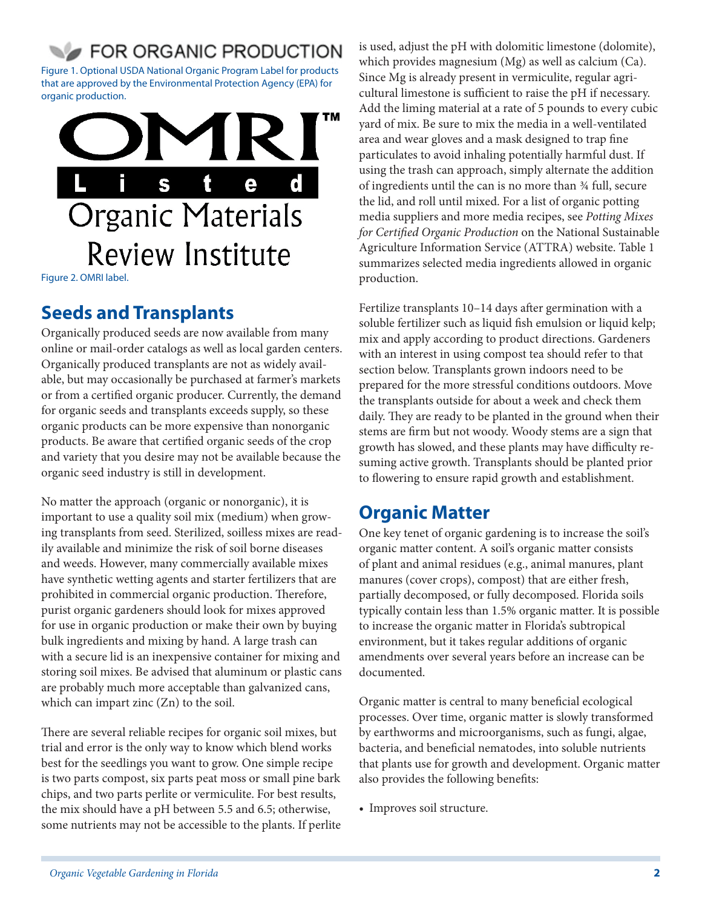# FOR ORGANIC PRODUCTION

Figure 1. Optional USDA National Organic Program Label for products that are approved by the Environmental Protection Agency (EPA) for organic production.



Figure 2. OMRI label.

# **Seeds and Transplants**

Organically produced seeds are now available from many online or mail-order catalogs as well as local garden centers. Organically produced transplants are not as widely available, but may occasionally be purchased at farmer's markets or from a certified organic producer. Currently, the demand for organic seeds and transplants exceeds supply, so these organic products can be more expensive than nonorganic products. Be aware that certified organic seeds of the crop and variety that you desire may not be available because the organic seed industry is still in development.

No matter the approach (organic or nonorganic), it is important to use a quality soil mix (medium) when growing transplants from seed. Sterilized, soilless mixes are readily available and minimize the risk of soil borne diseases and weeds. However, many commercially available mixes have synthetic wetting agents and starter fertilizers that are prohibited in commercial organic production. Therefore, purist organic gardeners should look for mixes approved for use in organic production or make their own by buying bulk ingredients and mixing by hand. A large trash can with a secure lid is an inexpensive container for mixing and storing soil mixes. Be advised that aluminum or plastic cans are probably much more acceptable than galvanized cans, which can impart zinc (Zn) to the soil.

There are several reliable recipes for organic soil mixes, but trial and error is the only way to know which blend works best for the seedlings you want to grow. One simple recipe is two parts compost, six parts peat moss or small pine bark chips, and two parts perlite or vermiculite. For best results, the mix should have a pH between 5.5 and 6.5; otherwise, some nutrients may not be accessible to the plants. If perlite is used, adjust the pH with dolomitic limestone (dolomite), which provides magnesium (Mg) as well as calcium (Ca). Since Mg is already present in vermiculite, regular agricultural limestone is sufficient to raise the pH if necessary. Add the liming material at a rate of 5 pounds to every cubic yard of mix. Be sure to mix the media in a well-ventilated area and wear gloves and a mask designed to trap fine particulates to avoid inhaling potentially harmful dust. If using the trash can approach, simply alternate the addition of ingredients until the can is no more than ¾ full, secure the lid, and roll until mixed. For a list of organic potting media suppliers and more media recipes, see *Potting Mixes for Certified Organic Production* on the National Sustainable Agriculture Information Service (ATTRA) website. Table 1 summarizes selected media ingredients allowed in organic production.

Fertilize transplants 10–14 days after germination with a soluble fertilizer such as liquid fish emulsion or liquid kelp; mix and apply according to product directions. Gardeners with an interest in using compost tea should refer to that section below. Transplants grown indoors need to be prepared for the more stressful conditions outdoors. Move the transplants outside for about a week and check them daily. They are ready to be planted in the ground when their stems are firm but not woody. Woody stems are a sign that growth has slowed, and these plants may have difficulty resuming active growth. Transplants should be planted prior to flowering to ensure rapid growth and establishment.

# **Organic Matter**

One key tenet of organic gardening is to increase the soil's organic matter content. A soil's organic matter consists of plant and animal residues (e.g., animal manures, plant manures (cover crops), compost) that are either fresh, partially decomposed, or fully decomposed. Florida soils typically contain less than 1.5% organic matter. It is possible to increase the organic matter in Florida's subtropical environment, but it takes regular additions of organic amendments over several years before an increase can be documented.

Organic matter is central to many beneficial ecological processes. Over time, organic matter is slowly transformed by earthworms and microorganisms, such as fungi, algae, bacteria, and beneficial nematodes, into soluble nutrients that plants use for growth and development. Organic matter also provides the following benefits:

• Improves soil structure.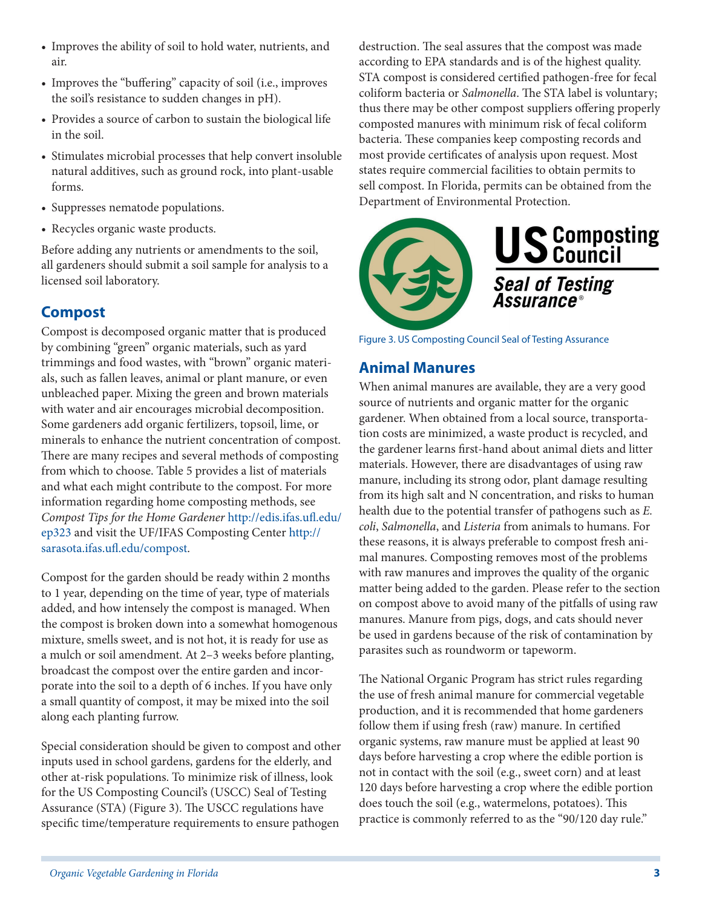- Improves the ability of soil to hold water, nutrients, and air.
- Improves the "buffering" capacity of soil (i.e., improves the soil's resistance to sudden changes in pH).
- Provides a source of carbon to sustain the biological life in the soil.
- Stimulates microbial processes that help convert insoluble natural additives, such as ground rock, into plant-usable forms.
- Suppresses nematode populations.
- Recycles organic waste products.

Before adding any nutrients or amendments to the soil, all gardeners should submit a soil sample for analysis to a licensed soil laboratory.

## **Compost**

Compost is decomposed organic matter that is produced by combining "green" organic materials, such as yard trimmings and food wastes, with "brown" organic materials, such as fallen leaves, animal or plant manure, or even unbleached paper. Mixing the green and brown materials with water and air encourages microbial decomposition. Some gardeners add organic fertilizers, topsoil, lime, or minerals to enhance the nutrient concentration of compost. There are many recipes and several methods of composting from which to choose. Table 5 provides a list of materials and what each might contribute to the compost. For more information regarding home composting methods, see *Compost Tips for the Home Gardener* [http://edis.ifas.ufl.edu/](http://edis.ifas.ufl.edu/ep323) [ep323](http://edis.ifas.ufl.edu/ep323) and visit the UF/IFAS Composting Center [http://](http://sarasota.ifas.ufl.edu/compost) [sarasota.ifas.ufl.edu/compost](http://sarasota.ifas.ufl.edu/compost).

Compost for the garden should be ready within 2 months to 1 year, depending on the time of year, type of materials added, and how intensely the compost is managed. When the compost is broken down into a somewhat homogenous mixture, smells sweet, and is not hot, it is ready for use as a mulch or soil amendment. At 2–3 weeks before planting, broadcast the compost over the entire garden and incorporate into the soil to a depth of 6 inches. If you have only a small quantity of compost, it may be mixed into the soil along each planting furrow.

Special consideration should be given to compost and other inputs used in school gardens, gardens for the elderly, and other at-risk populations. To minimize risk of illness, look for the US Composting Council's (USCC) Seal of Testing Assurance (STA) (Figure 3). The USCC regulations have specific time/temperature requirements to ensure pathogen

destruction. The seal assures that the compost was made according to EPA standards and is of the highest quality. STA compost is considered certified pathogen-free for fecal coliform bacteria or *Salmonella*. The STA label is voluntary; thus there may be other compost suppliers offering properly composted manures with minimum risk of fecal coliform bacteria. These companies keep composting records and most provide certificates of analysis upon request. Most states require commercial facilities to obtain permits to sell compost. In Florida, permits can be obtained from the Department of Environmental Protection.



Figure 3. US Composting Council Seal of Testing Assurance

### **Animal Manures**

When animal manures are available, they are a very good source of nutrients and organic matter for the organic gardener. When obtained from a local source, transportation costs are minimized, a waste product is recycled, and the gardener learns first-hand about animal diets and litter materials. However, there are disadvantages of using raw manure, including its strong odor, plant damage resulting from its high salt and N concentration, and risks to human health due to the potential transfer of pathogens such as *E. coli*, *Salmonella*, and *Listeria* from animals to humans. For these reasons, it is always preferable to compost fresh animal manures. Composting removes most of the problems with raw manures and improves the quality of the organic matter being added to the garden. Please refer to the section on compost above to avoid many of the pitfalls of using raw manures. Manure from pigs, dogs, and cats should never be used in gardens because of the risk of contamination by parasites such as roundworm or tapeworm.

The National Organic Program has strict rules regarding the use of fresh animal manure for commercial vegetable production, and it is recommended that home gardeners follow them if using fresh (raw) manure. In certified organic systems, raw manure must be applied at least 90 days before harvesting a crop where the edible portion is not in contact with the soil (e.g., sweet corn) and at least 120 days before harvesting a crop where the edible portion does touch the soil (e.g., watermelons, potatoes). This practice is commonly referred to as the "90/120 day rule."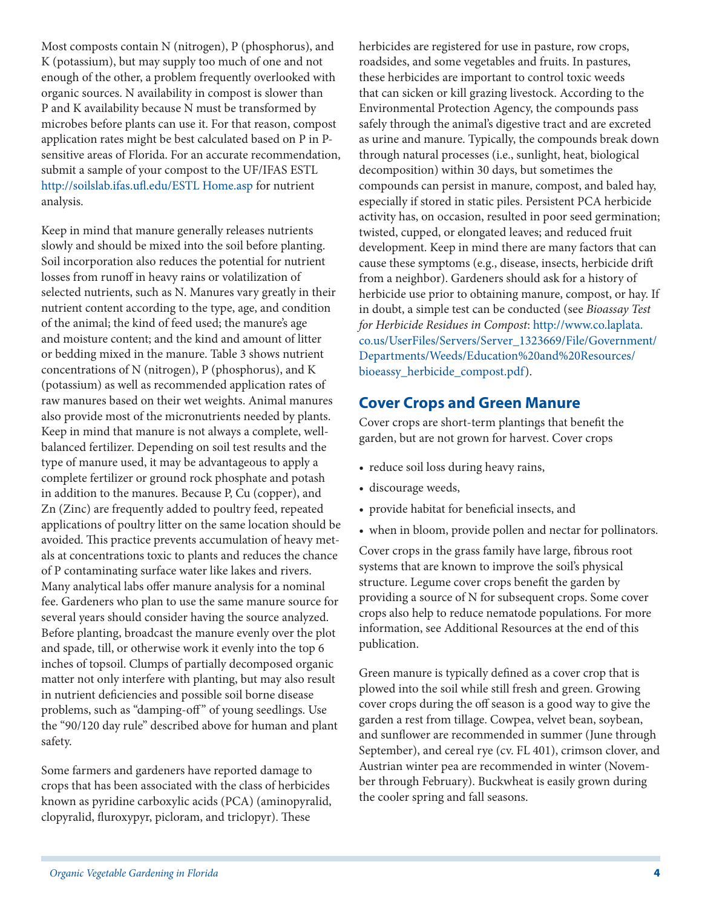Most composts contain N (nitrogen), P (phosphorus), and K (potassium), but may supply too much of one and not enough of the other, a problem frequently overlooked with organic sources. N availability in compost is slower than P and K availability because N must be transformed by microbes before plants can use it. For that reason, compost application rates might be best calculated based on P in Psensitive areas of Florida. For an accurate recommendation, submit a sample of your compost to the UF/IFAS ESTL [http://soilslab.ifas.ufl.edu/ESTL Home.asp](http://soilslab.ifas.ufl.edu/ESTL%20Home.asp) for nutrient analysis.

Keep in mind that manure generally releases nutrients slowly and should be mixed into the soil before planting. Soil incorporation also reduces the potential for nutrient losses from runoff in heavy rains or volatilization of selected nutrients, such as N. Manures vary greatly in their nutrient content according to the type, age, and condition of the animal; the kind of feed used; the manure's age and moisture content; and the kind and amount of litter or bedding mixed in the manure. Table 3 shows nutrient concentrations of N (nitrogen), P (phosphorus), and K (potassium) as well as recommended application rates of raw manures based on their wet weights. Animal manures also provide most of the micronutrients needed by plants. Keep in mind that manure is not always a complete, wellbalanced fertilizer. Depending on soil test results and the type of manure used, it may be advantageous to apply a complete fertilizer or ground rock phosphate and potash in addition to the manures. Because P, Cu (copper), and Zn (Zinc) are frequently added to poultry feed, repeated applications of poultry litter on the same location should be avoided. This practice prevents accumulation of heavy metals at concentrations toxic to plants and reduces the chance of P contaminating surface water like lakes and rivers. Many analytical labs offer manure analysis for a nominal fee. Gardeners who plan to use the same manure source for several years should consider having the source analyzed. Before planting, broadcast the manure evenly over the plot and spade, till, or otherwise work it evenly into the top 6 inches of topsoil. Clumps of partially decomposed organic matter not only interfere with planting, but may also result in nutrient deficiencies and possible soil borne disease problems, such as "damping-off" of young seedlings. Use the "90/120 day rule" described above for human and plant safety.

Some farmers and gardeners have reported damage to crops that has been associated with the class of herbicides known as pyridine carboxylic acids (PCA) (aminopyralid, clopyralid, fluroxypyr, picloram, and triclopyr). These

herbicides are registered for use in pasture, row crops, roadsides, and some vegetables and fruits. In pastures, these herbicides are important to control toxic weeds that can sicken or kill grazing livestock. According to the Environmental Protection Agency, the compounds pass safely through the animal's digestive tract and are excreted as urine and manure. Typically, the compounds break down through natural processes (i.e., sunlight, heat, biological decomposition) within 30 days, but sometimes the compounds can persist in manure, compost, and baled hay, especially if stored in static piles. Persistent PCA herbicide activity has, on occasion, resulted in poor seed germination; twisted, cupped, or elongated leaves; and reduced fruit development. Keep in mind there are many factors that can cause these symptoms (e.g., disease, insects, herbicide drift from a neighbor). Gardeners should ask for a history of herbicide use prior to obtaining manure, compost, or hay. If in doubt, a simple test can be conducted (see *Bioassay Test for Herbicide Residues in Compost*: [http://www.co.laplata.](http://www.co.laplata.co.us/UserFiles/Servers/Server_1323669/File/Government/Departments/Weeds/Education%20and%20Resources/bioeassy_herbicide_compost.pdf) [co.us/UserFiles/Servers/Server\\_1323669/File/Government/](http://www.co.laplata.co.us/UserFiles/Servers/Server_1323669/File/Government/Departments/Weeds/Education%20and%20Resources/bioeassy_herbicide_compost.pdf) [Departments/Weeds/Education%20and%20Resources/](http://www.co.laplata.co.us/UserFiles/Servers/Server_1323669/File/Government/Departments/Weeds/Education%20and%20Resources/bioeassy_herbicide_compost.pdf) [bioeassy\\_herbicide\\_compost.pdf](http://www.co.laplata.co.us/UserFiles/Servers/Server_1323669/File/Government/Departments/Weeds/Education%20and%20Resources/bioeassy_herbicide_compost.pdf)).

### **Cover Crops and Green Manure**

Cover crops are short-term plantings that benefit the garden, but are not grown for harvest. Cover crops

- reduce soil loss during heavy rains,
- discourage weeds,
- provide habitat for beneficial insects, and
- when in bloom, provide pollen and nectar for pollinators.

Cover crops in the grass family have large, fibrous root systems that are known to improve the soil's physical structure. Legume cover crops benefit the garden by providing a source of N for subsequent crops. Some cover crops also help to reduce nematode populations. For more information, see Additional Resources at the end of this publication.

Green manure is typically defined as a cover crop that is plowed into the soil while still fresh and green. Growing cover crops during the off season is a good way to give the garden a rest from tillage. Cowpea, velvet bean, soybean, and sunflower are recommended in summer (June through September), and cereal rye (cv. FL 401), crimson clover, and Austrian winter pea are recommended in winter (November through February). Buckwheat is easily grown during the cooler spring and fall seasons.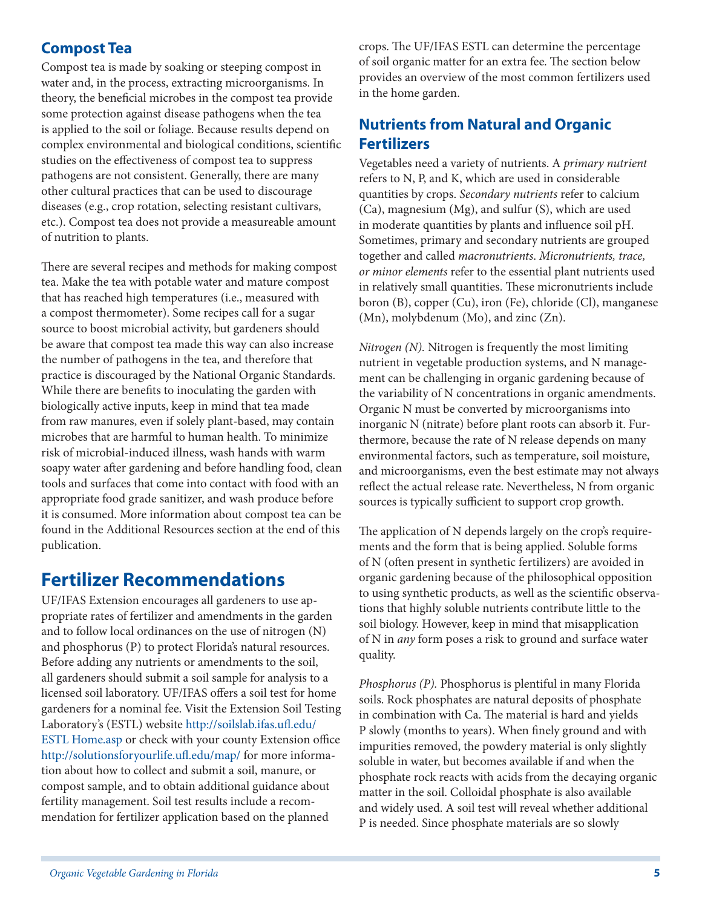## **Compost Tea**

Compost tea is made by soaking or steeping compost in water and, in the process, extracting microorganisms. In theory, the beneficial microbes in the compost tea provide some protection against disease pathogens when the tea is applied to the soil or foliage. Because results depend on complex environmental and biological conditions, scientific studies on the effectiveness of compost tea to suppress pathogens are not consistent. Generally, there are many other cultural practices that can be used to discourage diseases (e.g., crop rotation, selecting resistant cultivars, etc.). Compost tea does not provide a measureable amount of nutrition to plants.

There are several recipes and methods for making compost tea. Make the tea with potable water and mature compost that has reached high temperatures (i.e., measured with a compost thermometer). Some recipes call for a sugar source to boost microbial activity, but gardeners should be aware that compost tea made this way can also increase the number of pathogens in the tea, and therefore that practice is discouraged by the National Organic Standards. While there are benefits to inoculating the garden with biologically active inputs, keep in mind that tea made from raw manures, even if solely plant-based, may contain microbes that are harmful to human health. To minimize risk of microbial-induced illness, wash hands with warm soapy water after gardening and before handling food, clean tools and surfaces that come into contact with food with an appropriate food grade sanitizer, and wash produce before it is consumed. More information about compost tea can be found in the Additional Resources section at the end of this publication.

# **Fertilizer Recommendations**

UF/IFAS Extension encourages all gardeners to use appropriate rates of fertilizer and amendments in the garden and to follow local ordinances on the use of nitrogen (N) and phosphorus (P) to protect Florida's natural resources. Before adding any nutrients or amendments to the soil, all gardeners should submit a soil sample for analysis to a licensed soil laboratory. UF/IFAS offers a soil test for home gardeners for a nominal fee. Visit the Extension Soil Testing Laboratory's (ESTL) website [http://soilslab.ifas.ufl.edu/](http://soilslab.ifas.ufl.edu/ESTL%20Home.asp) [ESTL Home.asp](http://soilslab.ifas.ufl.edu/ESTL%20Home.asp) or check with your county Extension office <http://solutionsforyourlife.ufl.edu/map/>for more information about how to collect and submit a soil, manure, or compost sample, and to obtain additional guidance about fertility management. Soil test results include a recommendation for fertilizer application based on the planned

crops. The UF/IFAS ESTL can determine the percentage of soil organic matter for an extra fee. The section below provides an overview of the most common fertilizers used in the home garden.

## **Nutrients from Natural and Organic Fertilizers**

Vegetables need a variety of nutrients. A *primary nutrient*  refers to N, P, and K, which are used in considerable quantities by crops. *Secondary nutrients* refer to calcium (Ca), magnesium (Mg), and sulfur (S), which are used in moderate quantities by plants and influence soil pH. Sometimes, primary and secondary nutrients are grouped together and called *macronutrients*. *Micronutrients, trace, or minor elements* refer to the essential plant nutrients used in relatively small quantities. These micronutrients include boron (B), copper (Cu), iron (Fe), chloride (Cl), manganese (Mn), molybdenum (Mo), and zinc (Zn).

*Nitrogen (N).* Nitrogen is frequently the most limiting nutrient in vegetable production systems, and N management can be challenging in organic gardening because of the variability of N concentrations in organic amendments. Organic N must be converted by microorganisms into inorganic N (nitrate) before plant roots can absorb it. Furthermore, because the rate of N release depends on many environmental factors, such as temperature, soil moisture, and microorganisms, even the best estimate may not always reflect the actual release rate. Nevertheless, N from organic sources is typically sufficient to support crop growth.

The application of N depends largely on the crop's requirements and the form that is being applied. Soluble forms of N (often present in synthetic fertilizers) are avoided in organic gardening because of the philosophical opposition to using synthetic products, as well as the scientific observations that highly soluble nutrients contribute little to the soil biology. However, keep in mind that misapplication of N in *any* form poses a risk to ground and surface water quality.

*Phosphorus (P).* Phosphorus is plentiful in many Florida soils. Rock phosphates are natural deposits of phosphate in combination with Ca. The material is hard and yields P slowly (months to years). When finely ground and with impurities removed, the powdery material is only slightly soluble in water, but becomes available if and when the phosphate rock reacts with acids from the decaying organic matter in the soil. Colloidal phosphate is also available and widely used. A soil test will reveal whether additional P is needed. Since phosphate materials are so slowly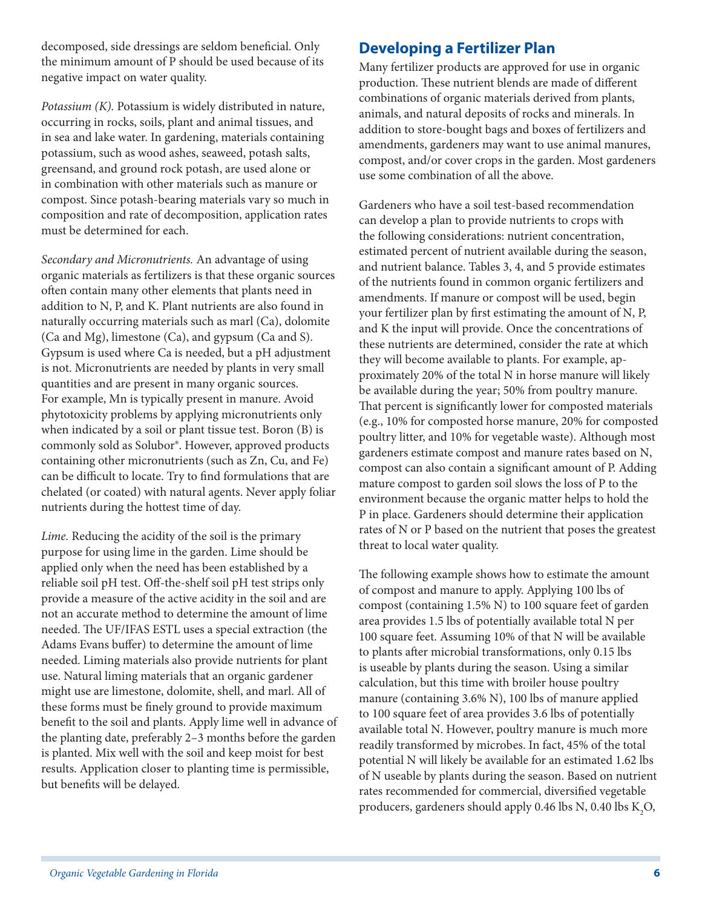decomposed, side dressings are seldom beneficial. Only the minimum amount of P should be used because of its negative impact on water quality.

*Potassium (K).* Potassium is widely distributed in nature, occurring in rocks, soils, plant and animal tissues, and in sea and lake water. In gardening, materials containing potassium, such as wood ashes, seaweed, potash salts, greensand, and ground rock potash, are used alone or in combination with other materials such as manure or compost. Since potash-bearing materials vary so much in composition and rate of decomposition, application rates must be determined for each.

*Secondary and Micronutrients.* An advantage of using organic materials as fertilizers is that these organic sources often contain many other elements that plants need in addition to N, P, and K. Plant nutrients are also found in naturally occurring materials such as marl (Ca), dolomite (Ca and Mg), limestone (Ca), and gypsum (Ca and S). Gypsum is used where Ca is needed, but a pH adjustment is not. Micronutrients are needed by plants in very small quantities and are present in many organic sources. For example, Mn is typically present in manure. Avoid phytotoxicity problems by applying micronutrients only when indicated by a soil or plant tissue test. Boron (B) is commonly sold as Solubor®. However, approved products containing other micronutrients (such as Zn, Cu, and Fe) can be difficult to locate. Try to find formulations that are chelated (or coated) with natural agents. Never apply foliar nutrients during the hottest time of day.

*Lime.* Reducing the acidity of the soil is the primary purpose for using lime in the garden. Lime should be applied only when the need has been established by a reliable soil pH test. Off-the-shelf soil pH test strips only provide a measure of the active acidity in the soil and are not an accurate method to determine the amount of lime needed. The UF/IFAS ESTL uses a special extraction (the Adams Evans buffer) to determine the amount of lime needed. Liming materials also provide nutrients for plant use. Natural liming materials that an organic gardener might use are limestone, dolomite, shell, and marl. All of these forms must be finely ground to provide maximum benefit to the soil and plants. Apply lime well in advance of the planting date, preferably 2–3 months before the garden is planted. Mix well with the soil and keep moist for best results. Application closer to planting time is permissible, but benefits will be delayed.

### **Developing a Fertilizer Plan**

Many fertilizer products are approved for use in organic production. These nutrient blends are made of different combinations of organic materials derived from plants, animals, and natural deposits of rocks and minerals. In addition to store-bought bags and boxes of fertilizers and amendments, gardeners may want to use animal manures, compost, and/or cover crops in the garden. Most gardeners use some combination of all the above.

Gardeners who have a soil test-based recommendation can develop a plan to provide nutrients to crops with the following considerations: nutrient concentration, estimated percent of nutrient available during the season, and nutrient balance. Tables 3, 4, and 5 provide estimates of the nutrients found in common organic fertilizers and amendments. If manure or compost will be used, begin your fertilizer plan by first estimating the amount of N, P, and K the input will provide. Once the concentrations of these nutrients are determined, consider the rate at which they will become available to plants. For example, approximately 20% of the total N in horse manure will likely be available during the year; 50% from poultry manure. That percent is significantly lower for composted materials (e.g., 10% for composted horse manure, 20% for composted poultry litter, and 10% for vegetable waste). Although most gardeners estimate compost and manure rates based on N, compost can also contain a significant amount of P. Adding mature compost to garden soil slows the loss of P to the environment because the organic matter helps to hold the P in place. Gardeners should determine their application rates of N or P based on the nutrient that poses the greatest threat to local water quality.

The following example shows how to estimate the amount of compost and manure to apply. Applying 100 lbs of compost (containing 1.5% N) to 100 square feet of garden area provides 1.5 lbs of potentially available total N per 100 square feet. Assuming 10% of that N will be available to plants after microbial transformations, only 0.15 lbs is useable by plants during the season. Using a similar calculation, but this time with broiler house poultry manure (containing 3.6% N), 100 lbs of manure applied to 100 square feet of area provides 3.6 lbs of potentially available total N. However, poultry manure is much more readily transformed by microbes. In fact, 45% of the total potential N will likely be available for an estimated 1.62 lbs of N useable by plants during the season. Based on nutrient rates recommended for commercial, diversified vegetable producers, gardeners should apply 0.46 lbs N, 0.40 lbs  $K_{2}O$ ,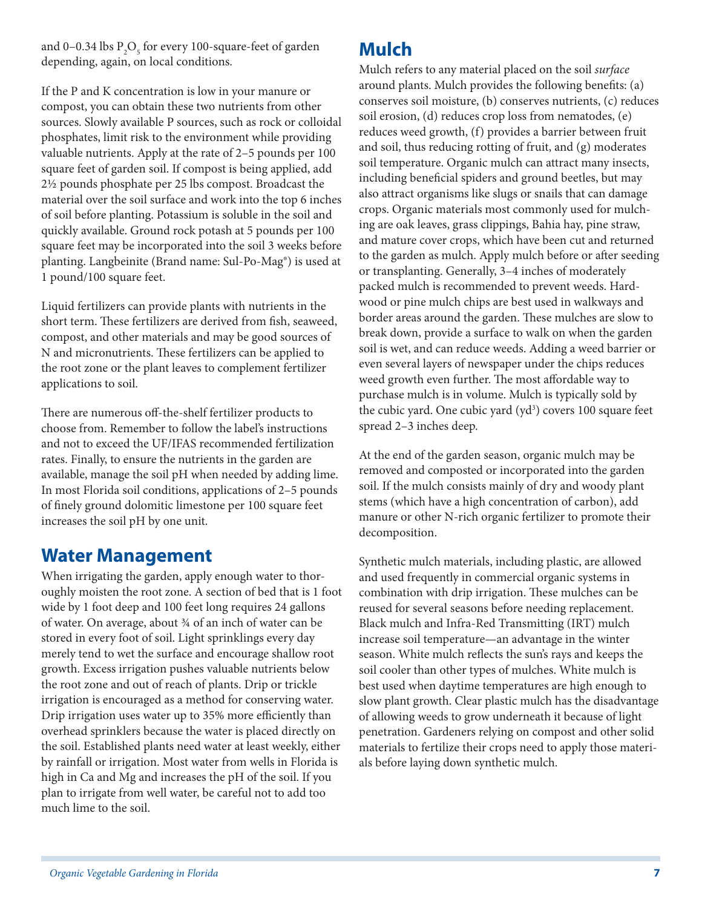and 0–0.34 lbs  $P_2O_5$  for every 100-square-feet of garden depending, again, on local conditions.

If the P and K concentration is low in your manure or compost, you can obtain these two nutrients from other sources. Slowly available P sources, such as rock or colloidal phosphates, limit risk to the environment while providing valuable nutrients. Apply at the rate of 2–5 pounds per 100 square feet of garden soil. If compost is being applied, add 2½ pounds phosphate per 25 lbs compost. Broadcast the material over the soil surface and work into the top 6 inches of soil before planting. Potassium is soluble in the soil and quickly available. Ground rock potash at 5 pounds per 100 square feet may be incorporated into the soil 3 weeks before planting. Langbeinite (Brand name: Sul-Po-Mag®) is used at 1 pound/100 square feet.

Liquid fertilizers can provide plants with nutrients in the short term. These fertilizers are derived from fish, seaweed, compost, and other materials and may be good sources of N and micronutrients. These fertilizers can be applied to the root zone or the plant leaves to complement fertilizer applications to soil.

There are numerous off-the-shelf fertilizer products to choose from. Remember to follow the label's instructions and not to exceed the UF/IFAS recommended fertilization rates. Finally, to ensure the nutrients in the garden are available, manage the soil pH when needed by adding lime. In most Florida soil conditions, applications of 2–5 pounds of finely ground dolomitic limestone per 100 square feet increases the soil pH by one unit.

## **Water Management**

When irrigating the garden, apply enough water to thoroughly moisten the root zone. A section of bed that is 1 foot wide by 1 foot deep and 100 feet long requires 24 gallons of water. On average, about ¾ of an inch of water can be stored in every foot of soil. Light sprinklings every day merely tend to wet the surface and encourage shallow root growth. Excess irrigation pushes valuable nutrients below the root zone and out of reach of plants. Drip or trickle irrigation is encouraged as a method for conserving water. Drip irrigation uses water up to 35% more efficiently than overhead sprinklers because the water is placed directly on the soil. Established plants need water at least weekly, either by rainfall or irrigation. Most water from wells in Florida is high in Ca and Mg and increases the pH of the soil. If you plan to irrigate from well water, be careful not to add too much lime to the soil.

## **Mulch**

Mulch refers to any material placed on the soil *surface*  around plants. Mulch provides the following benefits: (a) conserves soil moisture, (b) conserves nutrients, (c) reduces soil erosion, (d) reduces crop loss from nematodes, (e) reduces weed growth, (f) provides a barrier between fruit and soil, thus reducing rotting of fruit, and (g) moderates soil temperature. Organic mulch can attract many insects, including beneficial spiders and ground beetles, but may also attract organisms like slugs or snails that can damage crops. Organic materials most commonly used for mulching are oak leaves, grass clippings, Bahia hay, pine straw, and mature cover crops, which have been cut and returned to the garden as mulch. Apply mulch before or after seeding or transplanting. Generally, 3–4 inches of moderately packed mulch is recommended to prevent weeds. Hardwood or pine mulch chips are best used in walkways and border areas around the garden. These mulches are slow to break down, provide a surface to walk on when the garden soil is wet, and can reduce weeds. Adding a weed barrier or even several layers of newspaper under the chips reduces weed growth even further. The most affordable way to purchase mulch is in volume. Mulch is typically sold by the cubic yard. One cubic yard (yd<sup>3</sup>) covers 100 square feet spread 2–3 inches deep.

At the end of the garden season, organic mulch may be removed and composted or incorporated into the garden soil. If the mulch consists mainly of dry and woody plant stems (which have a high concentration of carbon), add manure or other N-rich organic fertilizer to promote their decomposition.

Synthetic mulch materials, including plastic, are allowed and used frequently in commercial organic systems in combination with drip irrigation. These mulches can be reused for several seasons before needing replacement. Black mulch and Infra-Red Transmitting (IRT) mulch increase soil temperature—an advantage in the winter season. White mulch reflects the sun's rays and keeps the soil cooler than other types of mulches. White mulch is best used when daytime temperatures are high enough to slow plant growth. Clear plastic mulch has the disadvantage of allowing weeds to grow underneath it because of light penetration. Gardeners relying on compost and other solid materials to fertilize their crops need to apply those materials before laying down synthetic mulch.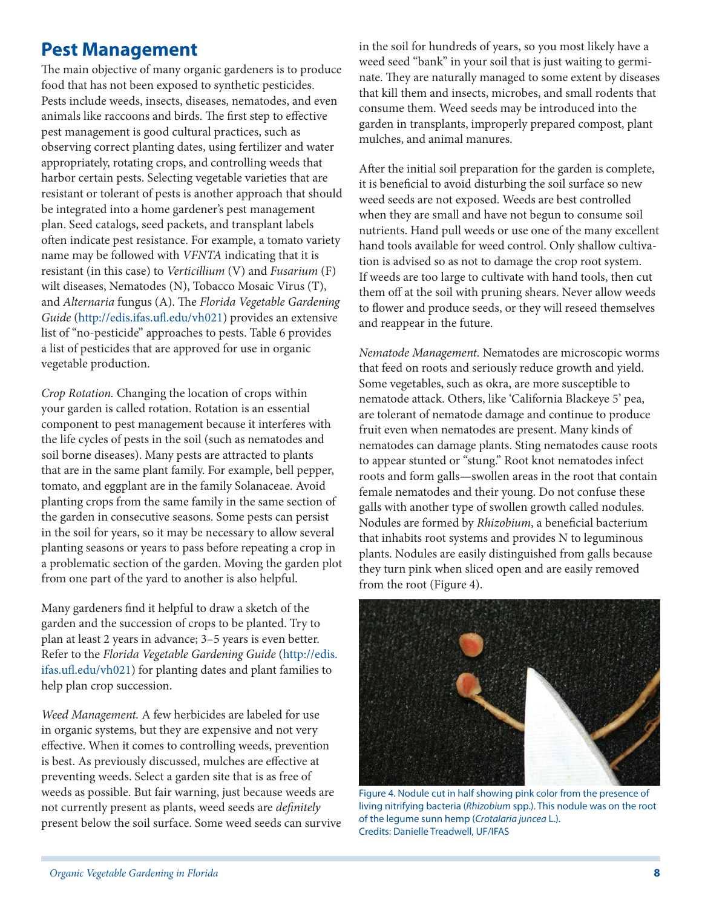## **Pest Management**

The main objective of many organic gardeners is to produce food that has not been exposed to synthetic pesticides. Pests include weeds, insects, diseases, nematodes, and even animals like raccoons and birds. The first step to effective pest management is good cultural practices, such as observing correct planting dates, using fertilizer and water appropriately, rotating crops, and controlling weeds that harbor certain pests. Selecting vegetable varieties that are resistant or tolerant of pests is another approach that should be integrated into a home gardener's pest management plan. Seed catalogs, seed packets, and transplant labels often indicate pest resistance. For example, a tomato variety name may be followed with *VFNTA* indicating that it is resistant (in this case) to *Verticillium* (V) and *Fusarium* (F) wilt diseases, Nematodes (N), Tobacco Mosaic Virus (T), and *Alternaria* fungus (A). The *Florida Vegetable Gardening Guide* [\(http://edis.ifas.ufl.edu/vh021](http://edis.ifas.ufl.edu/vh021)) provides an extensive list of "no-pesticide" approaches to pests. Table 6 provides a list of pesticides that are approved for use in organic vegetable production.

*Crop Rotation.* Changing the location of crops within your garden is called rotation. Rotation is an essential component to pest management because it interferes with the life cycles of pests in the soil (such as nematodes and soil borne diseases). Many pests are attracted to plants that are in the same plant family. For example, bell pepper, tomato, and eggplant are in the family Solanaceae. Avoid planting crops from the same family in the same section of the garden in consecutive seasons. Some pests can persist in the soil for years, so it may be necessary to allow several planting seasons or years to pass before repeating a crop in a problematic section of the garden. Moving the garden plot from one part of the yard to another is also helpful.

Many gardeners find it helpful to draw a sketch of the garden and the succession of crops to be planted. Try to plan at least 2 years in advance; 3–5 years is even better. Refer to the *Florida Vegetable Gardening Guide* ([http://edis.](http://edis.ifas.ufl.edu/vh021) [ifas.ufl.edu/vh021](http://edis.ifas.ufl.edu/vh021)) for planting dates and plant families to help plan crop succession.

*Weed Management.* A few herbicides are labeled for use in organic systems, but they are expensive and not very effective. When it comes to controlling weeds, prevention is best. As previously discussed, mulches are effective at preventing weeds. Select a garden site that is as free of weeds as possible. But fair warning, just because weeds are not currently present as plants, weed seeds are *definitely* present below the soil surface. Some weed seeds can survive in the soil for hundreds of years, so you most likely have a weed seed "bank" in your soil that is just waiting to germinate. They are naturally managed to some extent by diseases that kill them and insects, microbes, and small rodents that consume them. Weed seeds may be introduced into the garden in transplants, improperly prepared compost, plant mulches, and animal manures.

After the initial soil preparation for the garden is complete, it is beneficial to avoid disturbing the soil surface so new weed seeds are not exposed. Weeds are best controlled when they are small and have not begun to consume soil nutrients. Hand pull weeds or use one of the many excellent hand tools available for weed control. Only shallow cultivation is advised so as not to damage the crop root system. If weeds are too large to cultivate with hand tools, then cut them off at the soil with pruning shears. Never allow weeds to flower and produce seeds, or they will reseed themselves and reappear in the future.

*Nematode Management.* Nematodes are microscopic worms that feed on roots and seriously reduce growth and yield. Some vegetables, such as okra, are more susceptible to nematode attack. Others, like 'California Blackeye 5' pea, are tolerant of nematode damage and continue to produce fruit even when nematodes are present. Many kinds of nematodes can damage plants. Sting nematodes cause roots to appear stunted or "stung." Root knot nematodes infect roots and form galls—swollen areas in the root that contain female nematodes and their young. Do not confuse these galls with another type of swollen growth called nodules. Nodules are formed by *Rhizobium*, a beneficial bacterium that inhabits root systems and provides N to leguminous plants. Nodules are easily distinguished from galls because they turn pink when sliced open and are easily removed from the root (Figure 4).



Figure 4. Nodule cut in half showing pink color from the presence of living nitrifying bacteria (*Rhizobium* spp.). This nodule was on the root of the legume sunn hemp (*Crotalaria juncea* L.). Credits: Danielle Treadwell, UF/IFAS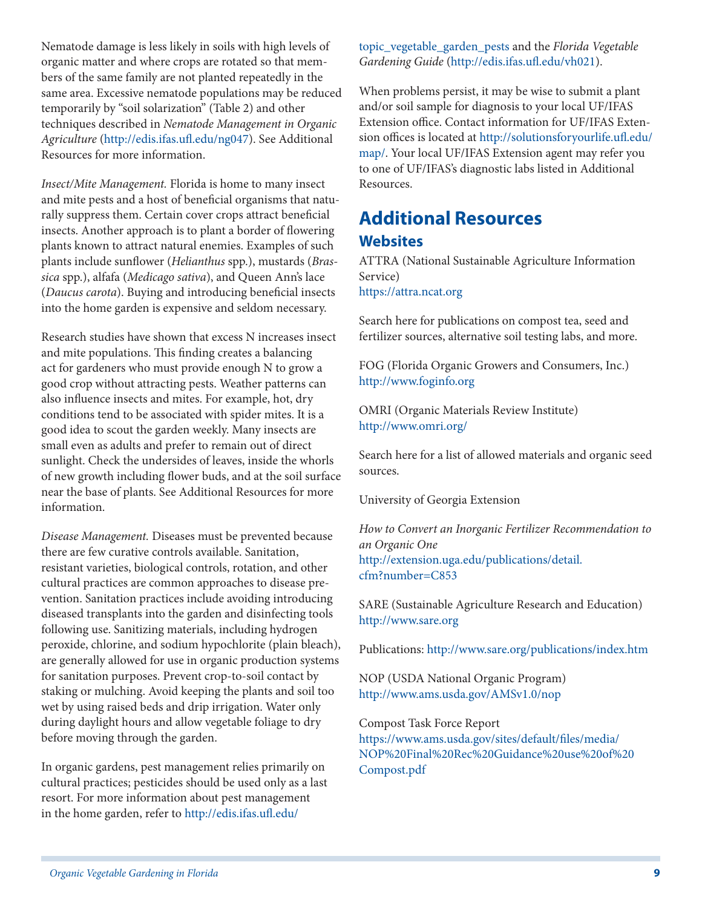Nematode damage is less likely in soils with high levels of organic matter and where crops are rotated so that members of the same family are not planted repeatedly in the same area. Excessive nematode populations may be reduced temporarily by "soil solarization" (Table 2) and other techniques described in *Nematode Management in Organic Agriculture* (<http://edis.ifas.ufl.edu/ng047>). See Additional Resources for more information.

*Insect/Mite Management.* Florida is home to many insect and mite pests and a host of beneficial organisms that naturally suppress them. Certain cover crops attract beneficial insects. Another approach is to plant a border of flowering plants known to attract natural enemies. Examples of such plants include sunflower (*Helianthus* spp.), mustards (*Brassica* spp.), alfafa (*Medicago sativa*), and Queen Ann's lace (*Daucus carota*). Buying and introducing beneficial insects into the home garden is expensive and seldom necessary.

Research studies have shown that excess N increases insect and mite populations. This finding creates a balancing act for gardeners who must provide enough N to grow a good crop without attracting pests. Weather patterns can also influence insects and mites. For example, hot, dry conditions tend to be associated with spider mites. It is a good idea to scout the garden weekly. Many insects are small even as adults and prefer to remain out of direct sunlight. Check the undersides of leaves, inside the whorls of new growth including flower buds, and at the soil surface near the base of plants. See Additional Resources for more information.

*Disease Management.* Diseases must be prevented because there are few curative controls available. Sanitation, resistant varieties, biological controls, rotation, and other cultural practices are common approaches to disease prevention. Sanitation practices include avoiding introducing diseased transplants into the garden and disinfecting tools following use. Sanitizing materials, including hydrogen peroxide, chlorine, and sodium hypochlorite (plain bleach), are generally allowed for use in organic production systems for sanitation purposes. Prevent crop-to-soil contact by staking or mulching. Avoid keeping the plants and soil too wet by using raised beds and drip irrigation. Water only during daylight hours and allow vegetable foliage to dry before moving through the garden.

In organic gardens, pest management relies primarily on cultural practices; pesticides should be used only as a last resort. For more information about pest management in the home garden, refer to [http://edis.ifas.ufl.edu/](http://edis.ifas.ufl.edu/topic_vegetable_garden_pests)

[topic\\_vegetable\\_garden\\_pests](http://edis.ifas.ufl.edu/topic_vegetable_garden_pests) and the *Florida Vegetable Gardening Guide* [\(http://edis.ifas.ufl.edu/vh021\)](http://edis.ifas.ufl.edu/vh021).

When problems persist, it may be wise to submit a plant and/or soil sample for diagnosis to your local UF/IFAS Extension office. Contact information for UF/IFAS Extension offices is located at [http://solutionsforyourlife.ufl.edu/](http://solutionsforyourlife.ufl.edu/map/) [map/](http://solutionsforyourlife.ufl.edu/map/). Your local UF/IFAS Extension agent may refer you to one of UF/IFAS's diagnostic labs listed in Additional Resources.

### **Additional Resources Websites**

ATTRA (National Sustainable Agriculture Information Service) <https://attra.ncat.org>

Search here for publications on compost tea, seed and fertilizer sources, alternative soil testing labs, and more.

FOG (Florida Organic Growers and Consumers, Inc.) [http://www.foginfo.org](http://www.foginfo.org/)

OMRI (Organic Materials Review Institute) <http://www.omri.org/>

Search here for a list of allowed materials and organic seed sources.

University of Georgia Extension

*How to Convert an Inorganic Fertilizer Recommendation to an Organic One* [http://extension.uga.edu/publications/detail.](http://extension.uga.edu/publications/detail.cfm?number=C853) [cfm?number=C853](http://extension.uga.edu/publications/detail.cfm?number=C853)

SARE (Sustainable Agriculture Research and Education) [http://www.sare.org](http://www.sare.org/)

Publications: <http://www.sare.org/publications/index.htm>

NOP (USDA National Organic Program) <http://www.ams.usda.gov/AMSv1.0/nop>

Compost Task Force Report

[https://www.ams.usda.gov/sites/default/files/media/](https://www.ams.usda.gov/sites/default/files/media/NOP%20Final%20Rec%20Guidance%20use%20of%20Compost.pdf) [NOP%20Final%20Rec%20Guidance%20use%20of%20](https://www.ams.usda.gov/sites/default/files/media/NOP%20Final%20Rec%20Guidance%20use%20of%20Compost.pdf) [Compost.pdf](https://www.ams.usda.gov/sites/default/files/media/NOP%20Final%20Rec%20Guidance%20use%20of%20Compost.pdf)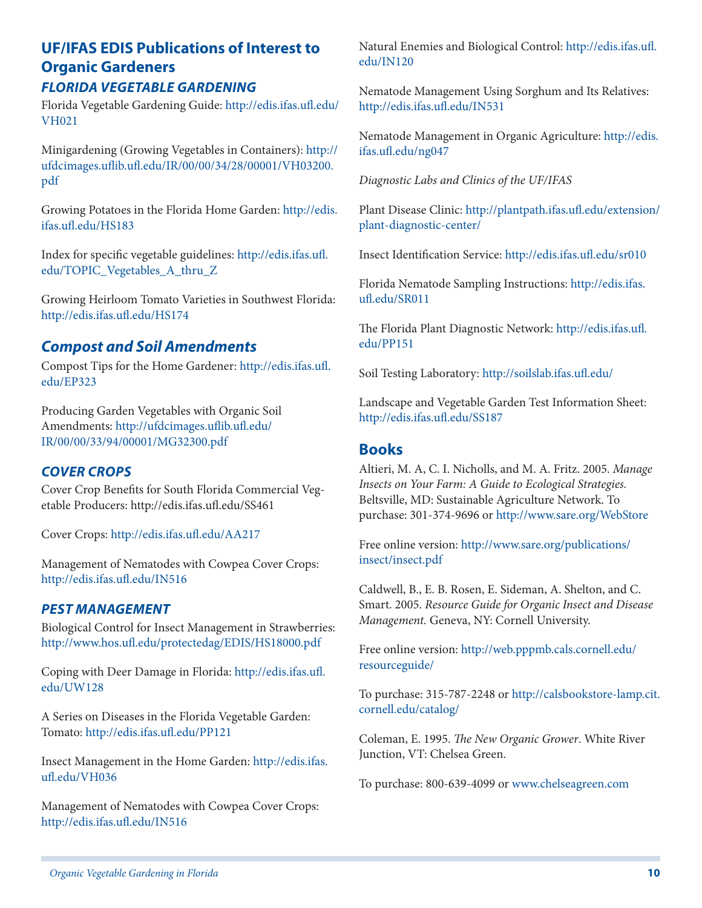## **UF/IFAS EDIS Publications of Interest to Organic Gardeners**

### *FLORIDA VEGETABLE GARDENING*

Florida Vegetable Gardening Guide: [http://edis.ifas.ufl.edu/](http://edis.ifas.ufl.edu/VH021) [VH021](http://edis.ifas.ufl.edu/VH021)

Minigardening (Growing Vegetables in Containers): [http://](http://ufdcimages.uflib.ufl.edu/IR/00/00/34/28/00001/VH03200.pdf) [ufdcimages.uflib.ufl.edu/IR/00/00/34/28/00001/VH03200.](http://ufdcimages.uflib.ufl.edu/IR/00/00/34/28/00001/VH03200.pdf) [pdf](http://ufdcimages.uflib.ufl.edu/IR/00/00/34/28/00001/VH03200.pdf)

Growing Potatoes in the Florida Home Garden: [http://edis.](http://edis.ifas.ufl.edu/HS183) [ifas.ufl.edu/HS183](http://edis.ifas.ufl.edu/HS183)

Index for specific vegetable guidelines: [http://edis.ifas.ufl.](http://edis.ifas.ufl.edu/TOPIC_Vegetables_A_thru_Z) [edu/TOPIC\\_Vegetables\\_A\\_thru\\_Z](http://edis.ifas.ufl.edu/TOPIC_Vegetables_A_thru_Z)

Growing Heirloom Tomato Varieties in Southwest Florida: <http://edis.ifas.ufl.edu/HS174>

### *Compost and Soil Amendments*

Compost Tips for the Home Gardener: [http://edis.ifas.ufl.](http://edis.ifas.ufl.edu/EP323) [edu/EP323](http://edis.ifas.ufl.edu/EP323)

Producing Garden Vegetables with Organic Soil Amendments: [http://ufdcimages.uflib.ufl.edu/](http://ufdcimages.uflib.ufl.edu/IR/00/00/33/94/00001/MG32300.pdf) [IR/00/00/33/94/00001/MG32300.pdf](http://ufdcimages.uflib.ufl.edu/IR/00/00/33/94/00001/MG32300.pdf)

#### *COVER CROPS*

Cover Crop Benefits for South Florida Commercial Vegetable Producers: http://edis.ifas.ufl.edu/SS461

Cover Crops: <http://edis.ifas.ufl.edu/AA217>

Management of Nematodes with Cowpea Cover Crops: <http://edis.ifas.ufl.edu/IN516>

#### *PEST MANAGEMENT*

Biological Control for Insect Management in Strawberries: <http://www.hos.ufl.edu/protectedag/EDIS/HS18000.pdf>

Coping with Deer Damage in Florida: [http://edis.ifas.ufl.](http://edis.ifas.ufl.edu/UW128) [edu/UW128](http://edis.ifas.ufl.edu/UW128)

A Series on Diseases in the Florida Vegetable Garden: Tomato: <http://edis.ifas.ufl.edu/PP121>

Insect Management in the Home Garden: [http://edis.ifas.](http://edis.ifas.ufl.edu/VH036) [ufl.edu/VH036](http://edis.ifas.ufl.edu/VH036)

Management of Nematodes with Cowpea Cover Crops: <http://edis.ifas.ufl.edu/IN516>

Natural Enemies and Biological Control: [http://edis.ifas.ufl.](http://edis.ifas.ufl.edu/IN120) [edu/IN120](http://edis.ifas.ufl.edu/IN120)

Nematode Management Using Sorghum and Its Relatives: <http://edis.ifas.ufl.edu/IN531>

Nematode Management in Organic Agriculture: [http://edis.](http://edis.ifas.ufl.edu/ng047) [ifas.ufl.edu/ng047](http://edis.ifas.ufl.edu/ng047)

*Diagnostic Labs and Clinics of the UF/IFAS*

Plant Disease Clinic: [http://plantpath.ifas.ufl.edu/extension/](http://plantpath.ifas.ufl.edu/extension/plant-diagnostic-center/) [plant-diagnostic-center/](http://plantpath.ifas.ufl.edu/extension/plant-diagnostic-center/)

Insect Identification Service: <http://edis.ifas.ufl.edu/sr010>

Florida Nematode Sampling Instructions: [http://edis.ifas.](http://edis.ifas.ufl.edu/SR011) [ufl.edu/SR011](http://edis.ifas.ufl.edu/SR011)

The Florida Plant Diagnostic Network: [http://edis.ifas.ufl.](http://edis.ifas.ufl.edu/PP151) [edu/PP151](http://edis.ifas.ufl.edu/PP151)

Soil Testing Laboratory: <http://soilslab.ifas.ufl.edu/>

Landscape and Vegetable Garden Test Information Sheet: <http://edis.ifas.ufl.edu/SS187>

#### **Books**

Altieri, M. A, C. I. Nicholls, and M. A. Fritz. 2005. *Manage Insects on Your Farm: A Guide to Ecological Strategies.* Beltsville, MD: Sustainable Agriculture Network. To purchase: 301-374-9696 or <http://www.sare.org/WebStore>

Free online version: [http://www.sare.org/publications/](http://www.sare.org/publications/insect/insect.pdf) [insect/insect.pdf](http://www.sare.org/publications/insect/insect.pdf)

Caldwell, B., E. B. Rosen, E. Sideman, A. Shelton, and C. Smart. 2005. *Resource Guide for Organic Insect and Disease Management.* Geneva, NY: Cornell University.

Free online version: [http://web.pppmb.cals.cornell.edu/](http://web.pppmb.cals.cornell.edu/resourceguide/) [resourceguide/](http://web.pppmb.cals.cornell.edu/resourceguide/)

To purchase: 315-787-2248 or [http://calsbookstore-lamp.cit.](http://calsbookstore-lamp.cit.cornell.edu/catalog/) [cornell.edu/catalog/](http://calsbookstore-lamp.cit.cornell.edu/catalog/)

Coleman, E. 1995. *The New Organic Grower*. White River Junction, VT: Chelsea Green.

To purchase: 800-639-4099 or [www.chelseagreen.com](http://www.chelseagreen.com)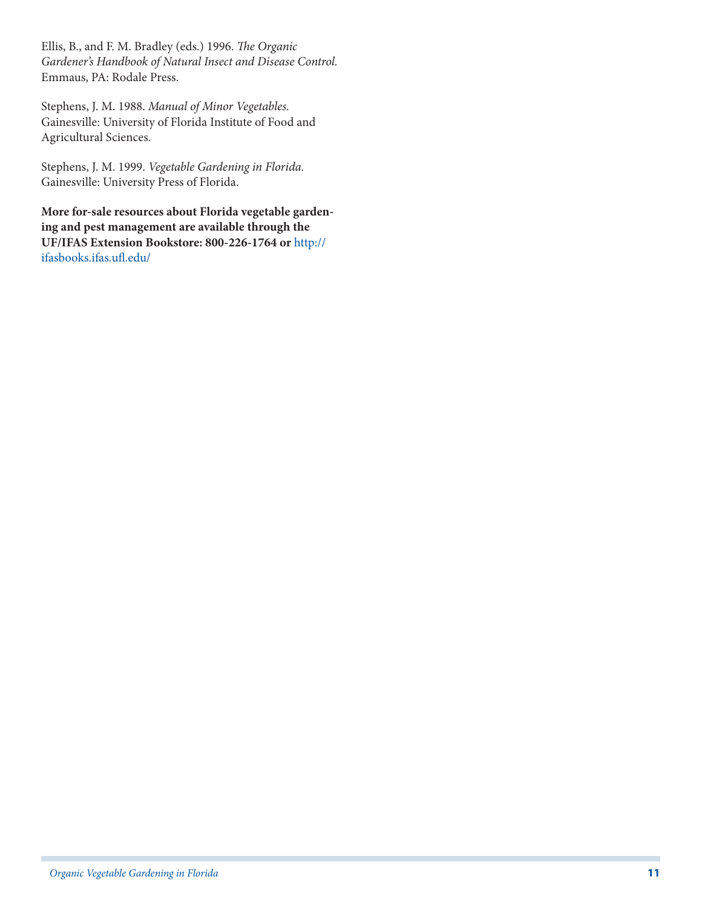Ellis, B., and F. M. Bradley (eds.) 1996. *The Organic Gardener's Handbook of Natural Insect and Disease Control.* Emmaus, PA: Rodale Press.

Stephens, J. M. 1988. *Manual of Minor Vegetables.* Gainesville: University of Florida Institute of Food and Agricultural Sciences.

Stephens, J. M. 1999. *Vegetable Gardening in Florida.* Gainesville: University Press of Florida.

**More for-sale resources about Florida vegetable gardening and pest management are available through the UF/IFAS Extension Bookstore: 800-226-1764 or** [http://](http://ifasbooks.ifas.ufl.edu/) [ifasbooks.ifas.ufl.edu/](http://ifasbooks.ifas.ufl.edu/)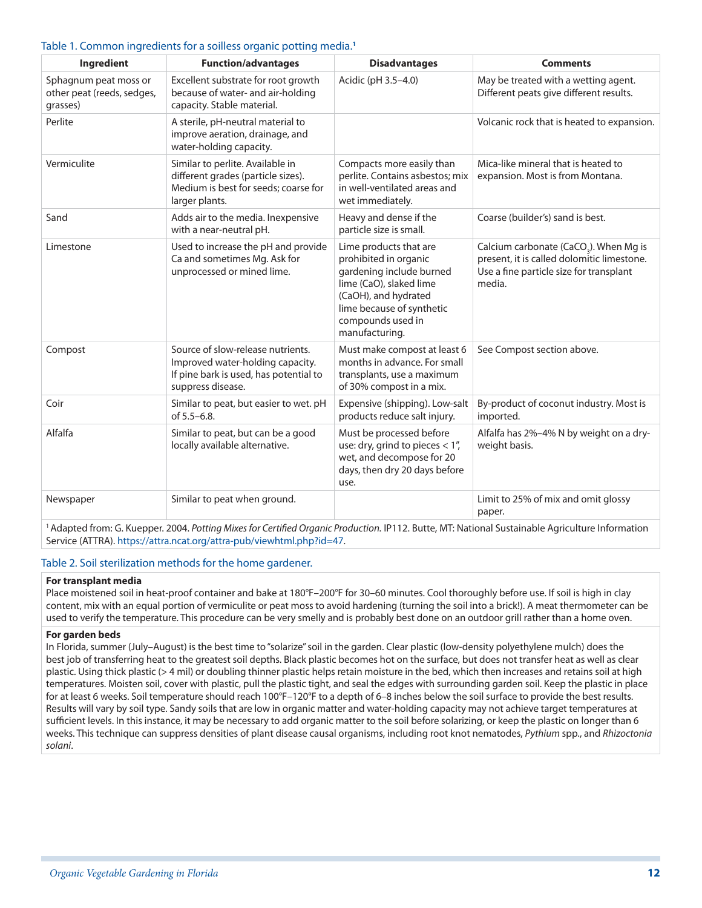#### Table 1. Common ingredients for a soilless organic potting media.**<sup>1</sup>**

| Ingredient                                                      | <b>Function/advantages</b>                                                                                                           | <b>Disadvantages</b>                                                                                                                                                                               | <b>Comments</b>                                                                                                                                       |
|-----------------------------------------------------------------|--------------------------------------------------------------------------------------------------------------------------------------|----------------------------------------------------------------------------------------------------------------------------------------------------------------------------------------------------|-------------------------------------------------------------------------------------------------------------------------------------------------------|
| Sphagnum peat moss or<br>other peat (reeds, sedges,<br>grasses) | Excellent substrate for root growth<br>because of water- and air-holding<br>capacity. Stable material.                               | Acidic (pH 3.5-4.0)                                                                                                                                                                                | May be treated with a wetting agent.<br>Different peats give different results.                                                                       |
| Perlite                                                         | A sterile, pH-neutral material to<br>improve aeration, drainage, and<br>water-holding capacity.                                      |                                                                                                                                                                                                    | Volcanic rock that is heated to expansion.                                                                                                            |
| Vermiculite                                                     | Similar to perlite. Available in<br>different grades (particle sizes).<br>Medium is best for seeds; coarse for<br>larger plants.     | Compacts more easily than<br>perlite. Contains asbestos; mix<br>in well-ventilated areas and<br>wet immediately.                                                                                   | Mica-like mineral that is heated to<br>expansion. Most is from Montana.                                                                               |
| Sand                                                            | Adds air to the media. Inexpensive<br>with a near-neutral pH.                                                                        | Heavy and dense if the<br>particle size is small.                                                                                                                                                  | Coarse (builder's) sand is best.                                                                                                                      |
| Limestone                                                       | Used to increase the pH and provide<br>Ca and sometimes Mg. Ask for<br>unprocessed or mined lime.                                    | Lime products that are<br>prohibited in organic<br>gardening include burned<br>lime (CaO), slaked lime<br>(CaOH), and hydrated<br>lime because of synthetic<br>compounds used in<br>manufacturing. | Calcium carbonate (CaCO <sub>3</sub> ). When Mg is<br>present, it is called dolomitic limestone.<br>Use a fine particle size for transplant<br>media. |
| Compost                                                         | Source of slow-release nutrients.<br>Improved water-holding capacity.<br>If pine bark is used, has potential to<br>suppress disease. | Must make compost at least 6<br>months in advance. For small<br>transplants, use a maximum<br>of 30% compost in a mix.                                                                             | See Compost section above.                                                                                                                            |
| Coir                                                            | Similar to peat, but easier to wet. pH<br>of 5.5-6.8.                                                                                | Expensive (shipping). Low-salt<br>products reduce salt injury.                                                                                                                                     | By-product of coconut industry. Most is<br>imported.                                                                                                  |
| Alfalfa                                                         | Similar to peat, but can be a good<br>locally available alternative.                                                                 | Must be processed before<br>use: dry, grind to pieces $< 1''$ ,<br>wet, and decompose for 20<br>days, then dry 20 days before<br>use.                                                              | Alfalfa has 2%-4% N by weight on a dry-<br>weight basis.                                                                                              |
| Newspaper                                                       | Similar to peat when ground.                                                                                                         |                                                                                                                                                                                                    | Limit to 25% of mix and omit glossy<br>paper.                                                                                                         |

1 Adapted from: G. Kuepper. 2004. *Potting Mixes for Certified Organic Production.* IP112. Butte, MT: National Sustainable Agriculture Information Service (ATTRA). [https://attra.ncat.org/attra-pub/viewhtml.php?id=47.](https://attra.ncat.org/attra-pub/viewhtml.php?id=47)

#### Table 2. Soil sterilization methods for the home gardener.

#### **For transplant media**

Place moistened soil in heat-proof container and bake at 180°F–200°F for 30–60 minutes. Cool thoroughly before use. If soil is high in clay content, mix with an equal portion of vermiculite or peat moss to avoid hardening (turning the soil into a brick!). A meat thermometer can be used to verify the temperature. This procedure can be very smelly and is probably best done on an outdoor grill rather than a home oven.

#### **For garden beds**

In Florida, summer (July–August) is the best time to "solarize" soil in the garden. Clear plastic (low-density polyethylene mulch) does the best job of transferring heat to the greatest soil depths. Black plastic becomes hot on the surface, but does not transfer heat as well as clear plastic. Using thick plastic (> 4 mil) or doubling thinner plastic helps retain moisture in the bed, which then increases and retains soil at high temperatures. Moisten soil, cover with plastic, pull the plastic tight, and seal the edges with surrounding garden soil. Keep the plastic in place for at least 6 weeks. Soil temperature should reach 100°F–120°F to a depth of 6–8 inches below the soil surface to provide the best results. Results will vary by soil type. Sandy soils that are low in organic matter and water-holding capacity may not achieve target temperatures at sufficient levels. In this instance, it may be necessary to add organic matter to the soil before solarizing, or keep the plastic on longer than 6 weeks. This technique can suppress densities of plant disease causal organisms, including root knot nematodes, *Pythium* spp., and *Rhizoctonia solani*.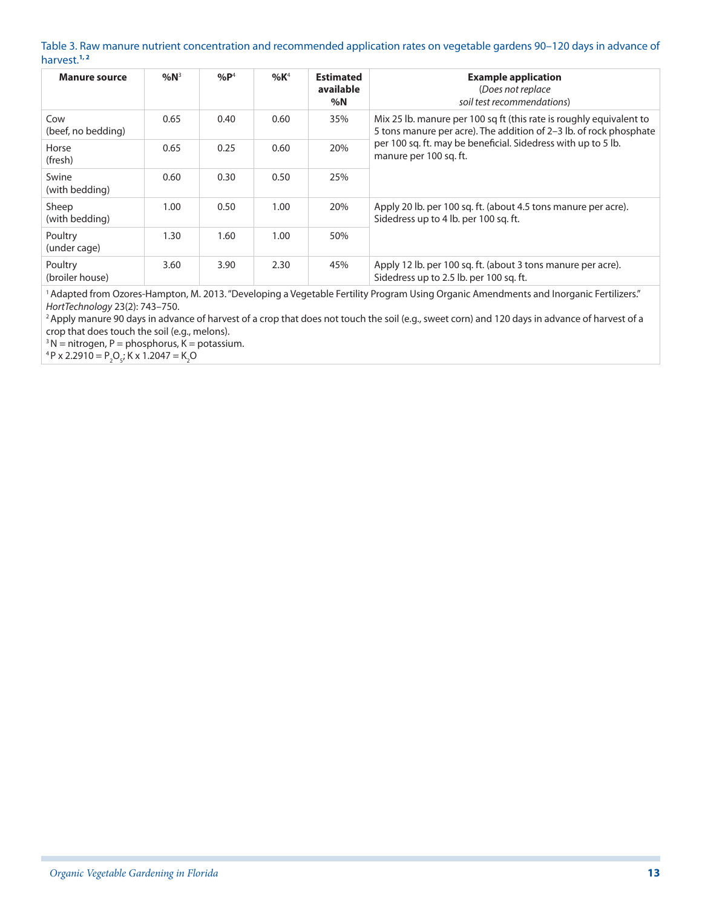#### Table 3. Raw manure nutrient concentration and recommended application rates on vegetable gardens 90–120 days in advance of harvest.**1, 2**

| <b>Manure source</b>       | $%N^3$ | $%P^4$ | %K <sup>4</sup> | <b>Estimated</b><br>available<br>%N | <b>Example application</b><br>(Does not replace<br>soil test recommendations)                                                             |
|----------------------------|--------|--------|-----------------|-------------------------------------|-------------------------------------------------------------------------------------------------------------------------------------------|
| Cow<br>(beef, no bedding)  | 0.65   | 0.40   | 0.60            | 35%                                 | Mix 25 lb. manure per 100 sq ft (this rate is roughly equivalent to<br>5 tons manure per acre). The addition of 2-3 lb. of rock phosphate |
| Horse<br>(fresh)           | 0.65   | 0.25   | 0.60            | 20%                                 | per 100 sq. ft. may be beneficial. Sidedress with up to 5 lb.<br>manure per 100 sq. ft.                                                   |
| Swine<br>(with bedding)    | 0.60   | 0.30   | 0.50            | 25%                                 |                                                                                                                                           |
| Sheep<br>(with bedding)    | 1.00   | 0.50   | 1.00            | 20%                                 | Apply 20 lb. per 100 sq. ft. (about 4.5 tons manure per acre).<br>Sidedress up to 4 lb. per 100 sq. ft.                                   |
| Poultry<br>(under cage)    | 1.30   | 1.60   | 1.00            | 50%                                 |                                                                                                                                           |
| Poultry<br>(broiler house) | 3.60   | 3.90   | 2.30            | 45%                                 | Apply 12 lb. per 100 sq. ft. (about 3 tons manure per acre).<br>Sidedress up to 2.5 lb. per 100 sq. ft.                                   |

<sup>1</sup> Adapted from Ozores-Hampton, M. 2013. "Developing a Vegetable Fertility Program Using Organic Amendments and Inorganic Fertilizers." *HortTechnology* 23(2): 743–750.

<sup>2</sup> Apply manure 90 days in advance of harvest of a crop that does not touch the soil (e.g., sweet corn) and 120 days in advance of harvest of a crop that does touch the soil (e.g., melons).

 $3 N =$  nitrogen, P = phosphorus, K = potassium.

<sup>4</sup> P x 2.2910 =  $P_2O_5$ ; K x 1.2047 = K<sub>2</sub>O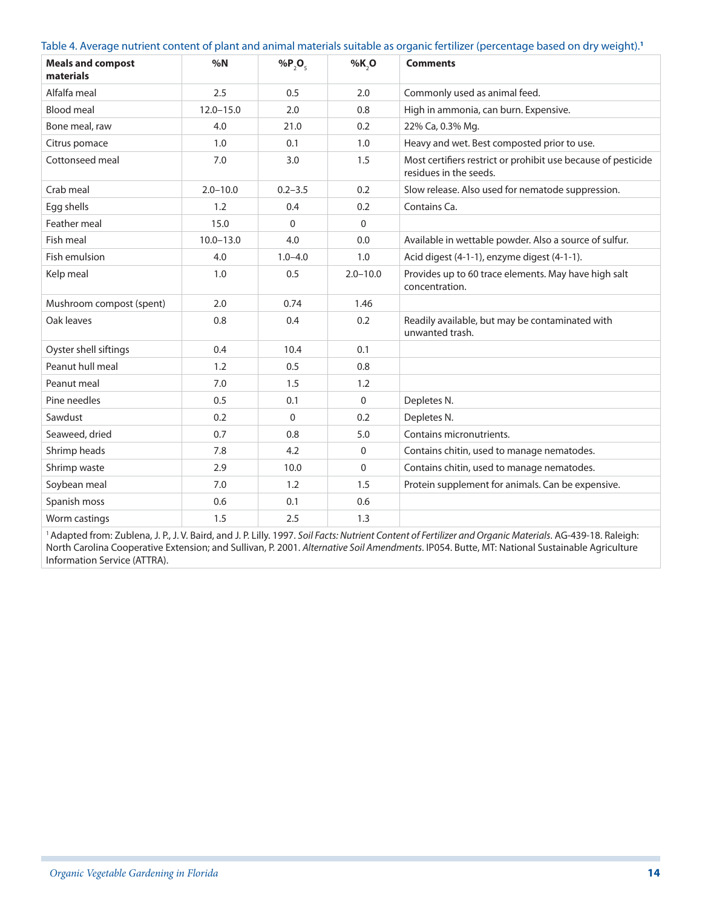| Table 4. Average nutrient content of plant and animal materials suitable as organic fertilizer (percentage based on dry weight). <sup>1</sup> |  |  |  |
|-----------------------------------------------------------------------------------------------------------------------------------------------|--|--|--|
|                                                                                                                                               |  |  |  |

| <b>Meals and compost</b><br>materials | %N            | % $P_2O_5$   | %K, O        | <b>Comments</b>                                                                         |
|---------------------------------------|---------------|--------------|--------------|-----------------------------------------------------------------------------------------|
| Alfalfa meal                          | 2.5           | 0.5          | 2.0          | Commonly used as animal feed.                                                           |
| <b>Blood meal</b>                     | $12.0 - 15.0$ | 2.0          | 0.8          | High in ammonia, can burn. Expensive.                                                   |
| Bone meal, raw                        | 4.0           | 21.0         | 0.2          | 22% Ca, 0.3% Mg.                                                                        |
| Citrus pomace                         | 1.0           | 0.1          | 1.0          | Heavy and wet. Best composted prior to use.                                             |
| Cottonseed meal                       | 7.0           | 3.0          | 1.5          | Most certifiers restrict or prohibit use because of pesticide<br>residues in the seeds. |
| Crab meal                             | $2.0 - 10.0$  | $0.2 - 3.5$  | 0.2          | Slow release. Also used for nematode suppression.                                       |
| Egg shells                            | 1.2           | 0.4          | 0.2          | Contains Ca.                                                                            |
| Feather meal                          | 15.0          | $\Omega$     | $\Omega$     |                                                                                         |
| Fish meal                             | $10.0 - 13.0$ | 4.0          | 0.0          | Available in wettable powder. Also a source of sulfur.                                  |
| Fish emulsion                         | 4.0           | $1.0 - 4.0$  | 1.0          | Acid digest (4-1-1), enzyme digest (4-1-1).                                             |
| Kelp meal                             | 1.0           | 0.5          | $2.0 - 10.0$ | Provides up to 60 trace elements. May have high salt<br>concentration.                  |
| Mushroom compost (spent)              | 2.0           | 0.74         | 1.46         |                                                                                         |
| Oak leaves                            | 0.8           | 0.4          | 0.2          | Readily available, but may be contaminated with<br>unwanted trash.                      |
| Oyster shell siftings                 | 0.4           | 10.4         | 0.1          |                                                                                         |
| Peanut hull meal                      | 1.2           | 0.5          | 0.8          |                                                                                         |
| Peanut meal                           | 7.0           | 1.5          | 1.2          |                                                                                         |
| Pine needles                          | 0.5           | 0.1          | $\Omega$     | Depletes N.                                                                             |
| Sawdust                               | 0.2           | $\mathbf{0}$ | 0.2          | Depletes N.                                                                             |
| Seaweed, dried                        | 0.7           | 0.8          | 5.0          | Contains micronutrients.                                                                |
| Shrimp heads                          | 7.8           | 4.2          | $\mathbf 0$  | Contains chitin, used to manage nematodes.                                              |
| Shrimp waste                          | 2.9           | 10.0         | $\Omega$     | Contains chitin, used to manage nematodes.                                              |
| Soybean meal                          | 7.0           | 1.2          | 1.5          | Protein supplement for animals. Can be expensive.                                       |
| Spanish moss                          | 0.6           | 0.1          | 0.6          |                                                                                         |
| Worm castings                         | 1.5           | 2.5          | 1.3          |                                                                                         |

<sup>1</sup> Adapted from: Zublena, J. P., J. V. Baird, and J. P. Lilly. 1997. Soil Facts: Nutrient Content of Fertilizer and Organic Materials. AG-439-18. Raleigh: North Carolina Cooperative Extension; and Sullivan, P. 2001. *Alternative Soil Amendments*. IP054. Butte, MT: National Sustainable Agriculture Information Service (ATTRA).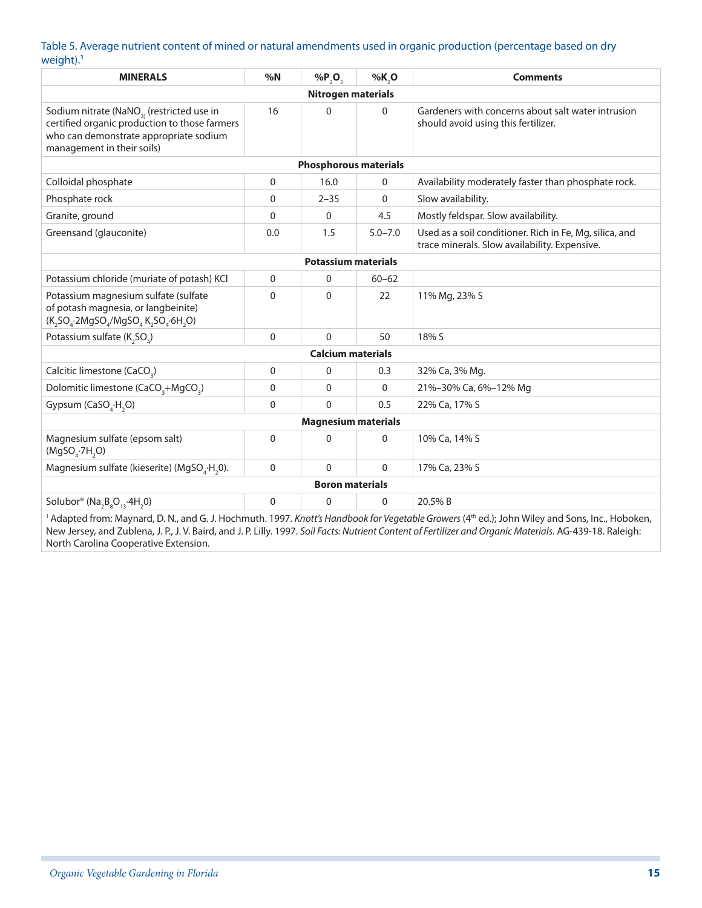#### Table 5. Average nutrient content of mined or natural amendments used in organic production (percentage based on dry weight).**<sup>1</sup>**

| <b>MINERALS</b>                                                                                                                                                                                                                                                                                                                                                                                 | %N          | % $P_2O_5$                   | %K,O        | <b>Comments</b>                                                                                          |  |  |  |
|-------------------------------------------------------------------------------------------------------------------------------------------------------------------------------------------------------------------------------------------------------------------------------------------------------------------------------------------------------------------------------------------------|-------------|------------------------------|-------------|----------------------------------------------------------------------------------------------------------|--|--|--|
| <b>Nitrogen materials</b>                                                                                                                                                                                                                                                                                                                                                                       |             |                              |             |                                                                                                          |  |  |  |
| Sodium nitrate (NaNO <sub>3)</sub> (restricted use in<br>certified organic production to those farmers<br>who can demonstrate appropriate sodium<br>management in their soils)                                                                                                                                                                                                                  | 16          | $\Omega$                     | 0           | Gardeners with concerns about salt water intrusion<br>should avoid using this fertilizer.                |  |  |  |
|                                                                                                                                                                                                                                                                                                                                                                                                 |             | <b>Phosphorous materials</b> |             |                                                                                                          |  |  |  |
| Colloidal phosphate                                                                                                                                                                                                                                                                                                                                                                             | 0           | 16.0                         | 0           | Availability moderately faster than phosphate rock.                                                      |  |  |  |
| Phosphate rock                                                                                                                                                                                                                                                                                                                                                                                  | 0           | $2 - 35$                     | $\Omega$    | Slow availability.                                                                                       |  |  |  |
| Granite, ground                                                                                                                                                                                                                                                                                                                                                                                 | $\Omega$    | $\Omega$                     | 4.5         | Mostly feldspar. Slow availability.                                                                      |  |  |  |
| Greensand (glauconite)                                                                                                                                                                                                                                                                                                                                                                          | 0.0         | 1.5                          | $5.0 - 7.0$ | Used as a soil conditioner. Rich in Fe, Mg, silica, and<br>trace minerals. Slow availability. Expensive. |  |  |  |
| <b>Potassium materials</b>                                                                                                                                                                                                                                                                                                                                                                      |             |                              |             |                                                                                                          |  |  |  |
| Potassium chloride (muriate of potash) KCl                                                                                                                                                                                                                                                                                                                                                      | 0           | $\Omega$                     | $60 - 62$   |                                                                                                          |  |  |  |
| Potassium magnesium sulfate (sulfate<br>of potash magnesia, or langbeinite)<br>$(K, SOa$ -2MgSO <sub>a</sub> /MgSO <sub>a</sub> K <sub>2</sub> SO <sub>a</sub> -6H <sub>2</sub> O)                                                                                                                                                                                                              | $\mathbf 0$ | $\Omega$                     | 22          | 11% Mg, 23% S                                                                                            |  |  |  |
| Potassium sulfate (K <sub>2</sub> SO <sub>4</sub> )                                                                                                                                                                                                                                                                                                                                             | $\Omega$    | $\Omega$                     | 50          | 18% S                                                                                                    |  |  |  |
| <b>Calcium materials</b>                                                                                                                                                                                                                                                                                                                                                                        |             |                              |             |                                                                                                          |  |  |  |
| Calcitic limestone (CaCO <sub>2</sub> )                                                                                                                                                                                                                                                                                                                                                         | 0           | $\mathbf 0$                  | 0.3         | 32% Ca, 3% Mg.                                                                                           |  |  |  |
| Dolomitic limestone (CaCO <sub>3</sub> +MgCO <sub>3</sub> )                                                                                                                                                                                                                                                                                                                                     | 0           | $\Omega$                     | $\mathbf 0$ | 21%-30% Ca, 6%-12% Mg                                                                                    |  |  |  |
| Gypsum (CaSO <sub>4</sub> ·H <sub>2</sub> O)                                                                                                                                                                                                                                                                                                                                                    | 0           | $\Omega$                     | 0.5         | 22% Ca, 17% S                                                                                            |  |  |  |
| <b>Magnesium materials</b>                                                                                                                                                                                                                                                                                                                                                                      |             |                              |             |                                                                                                          |  |  |  |
| Magnesium sulfate (epsom salt)<br>(MgSO <sub>a</sub> ·7H <sub>2</sub> O)                                                                                                                                                                                                                                                                                                                        | 0           | $\Omega$                     | $\mathbf 0$ | 10% Ca, 14% S                                                                                            |  |  |  |
| Magnesium sulfate (kieserite) (MgSO <sub>4</sub> ·H <sub>2</sub> 0).                                                                                                                                                                                                                                                                                                                            | $\Omega$    | $\Omega$                     | $\Omega$    | 17% Ca, 23% S                                                                                            |  |  |  |
| <b>Boron materials</b>                                                                                                                                                                                                                                                                                                                                                                          |             |                              |             |                                                                                                          |  |  |  |
| Solubor® ( $Na_2B_8O_{13}$ -4H <sub>2</sub> 0)                                                                                                                                                                                                                                                                                                                                                  | $\mathbf 0$ | 0                            | $\mathbf 0$ | 20.5% B                                                                                                  |  |  |  |
| $\mathcal{L}$ of $\mathcal{L}$ and $\mathcal{L}$ and $\mathcal{L}$ and $\mathcal{L}$ and $\mathcal{L}$ and $\mathcal{L}$ and $\mathcal{L}$ and $\mathcal{L}$<br>$\sim$ (athered to the state of the state of the state of the state of the state of the state of the state of the state of the state of the state of the state of the state of the state of the state of the state of the state |             |                              |             |                                                                                                          |  |  |  |

<sup>1</sup> Adapted from: Maynard, D. N., and G. J. Hochmuth. 1997. *Knott's Handbook for Vegetable Growers* (4<sup>th</sup> ed.); John Wiley and Sons, Inc., Hoboken, New Jersey, and Zublena, J. P., J. V. Baird, and J. P. Lilly. 1997. *Soil Facts: Nutrient Content of Fertilizer and Organic Materials*. AG-439-18. Raleigh: North Carolina Cooperative Extension.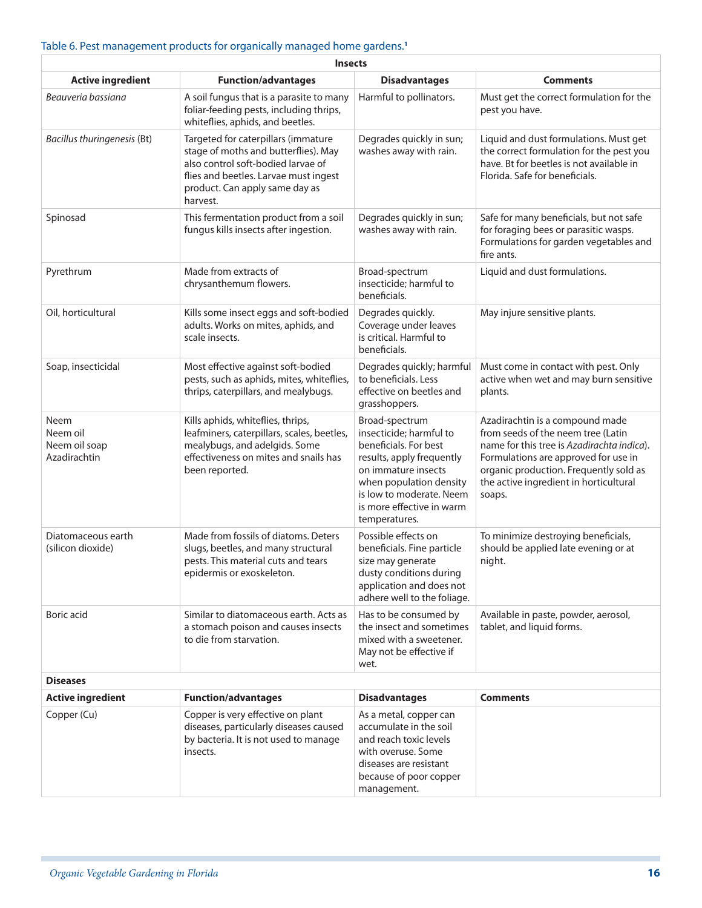#### Table 6. Pest management products for organically managed home gardens.**<sup>1</sup>**

| <b>Insects</b>                                                                                                                                  |                                                                                                                                                                                                          |                                                                                                                                                                                                                             |                                                                                                                                                                                                                                                           |  |  |  |  |  |
|-------------------------------------------------------------------------------------------------------------------------------------------------|----------------------------------------------------------------------------------------------------------------------------------------------------------------------------------------------------------|-----------------------------------------------------------------------------------------------------------------------------------------------------------------------------------------------------------------------------|-----------------------------------------------------------------------------------------------------------------------------------------------------------------------------------------------------------------------------------------------------------|--|--|--|--|--|
| <b>Active ingredient</b>                                                                                                                        | <b>Function/advantages</b>                                                                                                                                                                               | <b>Disadvantages</b>                                                                                                                                                                                                        | <b>Comments</b>                                                                                                                                                                                                                                           |  |  |  |  |  |
| Beauveria bassiana                                                                                                                              | A soil fungus that is a parasite to many<br>foliar-feeding pests, including thrips,<br>whiteflies, aphids, and beetles.                                                                                  | Harmful to pollinators.                                                                                                                                                                                                     | Must get the correct formulation for the<br>pest you have.                                                                                                                                                                                                |  |  |  |  |  |
| <b>Bacillus thuringenesis (Bt)</b>                                                                                                              | Targeted for caterpillars (immature<br>stage of moths and butterflies). May<br>also control soft-bodied larvae of<br>flies and beetles. Larvae must ingest<br>product. Can apply same day as<br>harvest. | Degrades quickly in sun;<br>washes away with rain.                                                                                                                                                                          | Liquid and dust formulations. Must get<br>the correct formulation for the pest you<br>have. Bt for beetles is not available in<br>Florida. Safe for beneficials.                                                                                          |  |  |  |  |  |
| Spinosad                                                                                                                                        | This fermentation product from a soil<br>fungus kills insects after ingestion.                                                                                                                           | Degrades quickly in sun;<br>washes away with rain.                                                                                                                                                                          | Safe for many beneficials, but not safe<br>for foraging bees or parasitic wasps.<br>Formulations for garden vegetables and<br>fire ants.                                                                                                                  |  |  |  |  |  |
| Pyrethrum                                                                                                                                       | Made from extracts of<br>chrysanthemum flowers.                                                                                                                                                          | Broad-spectrum<br>insecticide; harmful to<br>beneficials.                                                                                                                                                                   | Liquid and dust formulations.                                                                                                                                                                                                                             |  |  |  |  |  |
| Oil, horticultural<br>Kills some insect eggs and soft-bodied<br>adults. Works on mites, aphids, and<br>scale insects.                           |                                                                                                                                                                                                          | Degrades quickly.<br>Coverage under leaves<br>is critical. Harmful to<br>beneficials.                                                                                                                                       | May injure sensitive plants.                                                                                                                                                                                                                              |  |  |  |  |  |
| Soap, insecticidal                                                                                                                              | Most effective against soft-bodied<br>pests, such as aphids, mites, whiteflies,<br>thrips, caterpillars, and mealybugs.                                                                                  | Degrades quickly; harmful<br>to beneficials. Less<br>effective on beetles and<br>grasshoppers.                                                                                                                              | Must come in contact with pest. Only<br>active when wet and may burn sensitive<br>plants.                                                                                                                                                                 |  |  |  |  |  |
| <b>Neem</b><br>Neem oil<br>Neem oil soap<br>Azadirachtin                                                                                        | Kills aphids, whiteflies, thrips,<br>leafminers, caterpillars, scales, beetles,<br>mealybugs, and adelgids. Some<br>effectiveness on mites and snails has<br>been reported.                              | Broad-spectrum<br>insecticide; harmful to<br>beneficials. For best<br>results, apply frequently<br>on immature insects<br>when population density<br>is low to moderate. Neem<br>is more effective in warm<br>temperatures. | Azadirachtin is a compound made<br>from seeds of the neem tree (Latin<br>name for this tree is Azadirachta indica).<br>Formulations are approved for use in<br>organic production. Frequently sold as<br>the active ingredient in horticultural<br>soaps. |  |  |  |  |  |
| Diatomaceous earth<br>(silicon dioxide)                                                                                                         | Made from fossils of diatoms. Deters<br>slugs, beetles, and many structural<br>pests. This material cuts and tears<br>epidermis or exoskeleton.                                                          |                                                                                                                                                                                                                             | To minimize destroying beneficials,<br>should be applied late evening or at<br>night.                                                                                                                                                                     |  |  |  |  |  |
| Boric acid<br>Similar to diatomaceous earth. Acts as<br>a stomach poison and causes insects<br>to die from starvation.                          |                                                                                                                                                                                                          | Has to be consumed by<br>the insect and sometimes<br>mixed with a sweetener.<br>May not be effective if<br>wet.                                                                                                             | Available in paste, powder, aerosol,<br>tablet, and liquid forms.                                                                                                                                                                                         |  |  |  |  |  |
| <b>Diseases</b>                                                                                                                                 |                                                                                                                                                                                                          |                                                                                                                                                                                                                             |                                                                                                                                                                                                                                                           |  |  |  |  |  |
| <b>Active ingredient</b>                                                                                                                        | <b>Function/advantages</b>                                                                                                                                                                               | <b>Disadvantages</b>                                                                                                                                                                                                        | <b>Comments</b>                                                                                                                                                                                                                                           |  |  |  |  |  |
| Copper (Cu)<br>Copper is very effective on plant<br>diseases, particularly diseases caused<br>by bacteria. It is not used to manage<br>insects. |                                                                                                                                                                                                          | As a metal, copper can<br>accumulate in the soil<br>and reach toxic levels<br>with overuse. Some<br>diseases are resistant<br>because of poor copper<br>management.                                                         |                                                                                                                                                                                                                                                           |  |  |  |  |  |